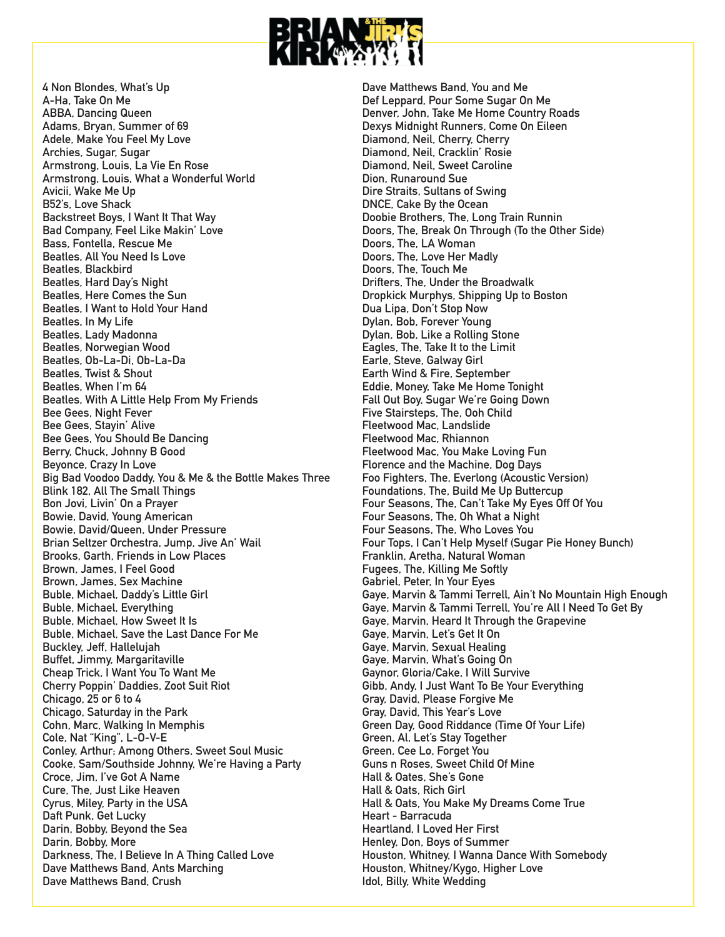

**4 Non Blondes, What's Up A-Ha, Take On Me ABBA, Dancing Queen Adams, Bryan, Summer of 69 Adele, Make You Feel My Love Archies, Sugar, Sugar Armstrong, Louis, La Vie En Rose Armstrong, Louis, What a Wonderful World Avicii, Wake Me Up B52's, Love Shack Backstreet Boys, I Want It That Way Bad Company, Feel Like Makin' Love Bass, Fontella, Rescue Me Beatles, All You Need Is Love Beatles, Blackbird Beatles, Hard Day's Night Beatles, Here Comes the Sun Beatles, I Want to Hold Your Hand Beatles, In My Life Beatles, Lady Madonna Beatles, Norwegian Wood Beatles, Ob-La-Di, Ob-La-Da Beatles, Twist & Shout Beatles, When I'm 64 Beatles, With A Little Help From My Friends Bee Gees, Night Fever Bee Gees, Stayin' Alive Bee Gees, You Should Be Dancing Berry, Chuck, Johnny B Good Beyonce, Crazy In Love Big Bad Voodoo Daddy, You & Me & the Bottle Makes Three Blink 182, All The Small Things Bon Jovi, Livin' On a Prayer Bowie, David, Young American Bowie, David/Queen, Under Pressure Brian Seltzer Orchestra, Jump, Jive An' Wail Brooks, Garth, Friends in Low Places Brown, James, I Feel Good Brown, James, Sex Machine Buble, Michael, Daddy's Little Girl Buble, Michael, Everything Buble, Michael, How Sweet It Is Buble, Michael, Save the Last Dance For Me Buckley, Jeff, Hallelujah Buffet, Jimmy, Margaritaville Cheap Trick, I Want You To Want Me Cherry Poppin' Daddies, Zoot Suit Riot Chicago, 25 or 6 to 4 Chicago, Saturday in the Park Cohn, Marc, Walking In Memphis Cole, Nat "King", L-O-V-E Conley, Arthur; Among Others, Sweet Soul Music Cooke, Sam/Southside Johnny, We're Having a Party Croce, Jim, I've Got A Name Cure, The, Just Like Heaven Cyrus, Miley, Party in the USA Daft Punk, Get Lucky Darin, Bobby, Beyond the Sea Darin, Bobby, More Darkness, The, I Believe In A Thing Called Love Dave Matthews Band, Ants Marching Dave Matthews Band, Crush**

**Dave Matthews Band, You and Me Def Leppard, Pour Some Sugar On Me Denver, John, Take Me Home Country Roads Dexys Midnight Runners, Come On Eileen Diamond, Neil, Cherry, Cherry Diamond, Neil, Cracklin' Rosie Diamond, Neil, Sweet Caroline Dion, Runaround Sue Dire Straits, Sultans of Swing DNCE, Cake By the Ocean Doobie Brothers, The, Long Train Runnin Doors, The, Break On Through (To the Other Side) Doors, The, LA Woman Doors, The, Love Her Madly Doors, The, Touch Me Drifters, The, Under the Broadwalk Dropkick Murphys, Shipping Up to Boston Dua Lipa, Don't Stop Now Dylan, Bob, Forever Young Dylan, Bob, Like a Rolling Stone Eagles, The, Take It to the Limit Earle, Steve, Galway Girl Earth Wind & Fire, September Eddie, Money, Take Me Home Tonight Fall Out Boy, Sugar We're Going Down Five Stairsteps, The, Ooh Child Fleetwood Mac, Landslide Fleetwood Mac, Rhiannon Fleetwood Mac, You Make Loving Fun Florence and the Machine, Dog Days Foo Fighters, The, Everlong (Acoustic Version) Foundations, The, Build Me Up Buttercup Four Seasons, The, Can't Take My Eyes Off Of You Four Seasons, The, Oh What a Night Four Seasons, The, Who Loves You Four Tops, I Can't Help Myself (Sugar Pie Honey Bunch) Franklin, Aretha, Natural Woman Fugees, The, Killing Me Softly Gabriel, Peter, In Your Eyes Gaye, Marvin & Tammi Terrell, Ain't No Mountain High Enough Gaye, Marvin & Tammi Terrell, You're All I Need To Get By Gaye, Marvin, Heard It Through the Grapevine Gaye, Marvin, Let's Get It On Gaye, Marvin, Sexual Healing Gaye, Marvin, What's Going On Gaynor, Gloria/Cake, I Will Survive Gibb, Andy, I Just Want To Be Your Everything Gray, David, Please Forgive Me Gray, David, This Year's Love Green Day, Good Riddance (Time Of Your Life) Green, Al, Let's Stay Together Green, Cee Lo, Forget You Guns n Roses, Sweet Child Of Mine Hall & Oates, She's Gone Hall & Oats, Rich Girl Hall & Oats, You Make My Dreams Come True Heart - Barracuda Heartland, I Loved Her First Henley, Don, Boys of Summer Houston, Whitney, I Wanna Dance With Somebody Houston, Whitney/Kygo, Higher Love Idol, Billy, White Wedding**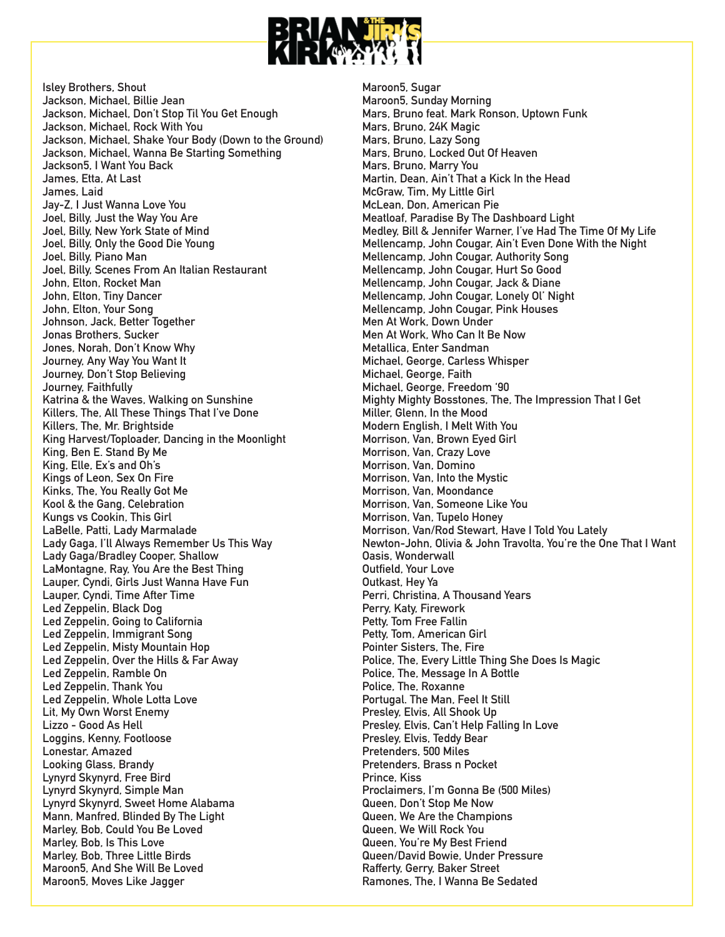

**Isley Brothers, Shout Jackson, Michael, Billie Jean Jackson, Michael, Don't Stop Til You Get Enough Jackson, Michael, Rock With You Jackson, Michael, Shake Your Body (Down to the Ground) Jackson, Michael, Wanna Be Starting Something Jackson5, I Want You Back James, Etta, At Last James, Laid Jay-Z, I Just Wanna Love You Joel, Billy, Just the Way You Are Joel, Billy, New York State of Mind Joel, Billy, Only the Good Die Young Joel, Billy, Piano Man Joel, Billy, Scenes From An Italian Restaurant John, Elton, Rocket Man John, Elton, Tiny Dancer John, Elton, Your Song Johnson, Jack, Better Together Jonas Brothers, Sucker Jones, Norah, Don't Know Why Journey, Any Way You Want It Journey, Don't Stop Believing Journey, Faithfully Katrina & the Waves, Walking on Sunshine Killers, The, All These Things That I've Done Killers, The, Mr. Brightside King Harvest/Toploader, Dancing in the Moonlight King, Ben E. Stand By Me King, Elle, Ex's and Oh's Kings of Leon, Sex On Fire Kinks, The, You Really Got Me Kool & the Gang, Celebration Kungs vs Cookin, This Girl LaBelle, Patti, Lady Marmalade Lady Gaga, I'll Always Remember Us This Way Lady Gaga/Bradley Cooper, Shallow LaMontagne, Ray, You Are the Best Thing Lauper, Cyndi, Girls Just Wanna Have Fun Lauper, Cyndi, Time After Time Led Zeppelin, Black Dog Led Zeppelin, Going to California Led Zeppelin, Immigrant Song Led Zeppelin, Misty Mountain Hop Led Zeppelin, Over the Hills & Far Away Led Zeppelin, Ramble On Led Zeppelin, Thank You Led Zeppelin, Whole Lotta Love Lit, My Own Worst Enemy Lizzo - Good As Hell Loggins, Kenny, Footloose Lonestar, Amazed Looking Glass, Brandy Lynyrd Skynyrd, Free Bird Lynyrd Skynyrd, Simple Man Lynyrd Skynyrd, Sweet Home Alabama Mann, Manfred, Blinded By The Light Marley, Bob, Could You Be Loved Marley, Bob, Is This Love Marley, Bob, Three Little Birds Maroon5, And She Will Be Loved Maroon5, Moves Like Jagger**

**Maroon5, Sugar Maroon5, Sunday Morning Mars, Bruno feat. Mark Ronson, Uptown Funk Mars, Bruno, 24K Magic Mars, Bruno, Lazy Song Mars, Bruno, Locked Out Of Heaven Mars, Bruno, Marry You Martin, Dean, Ain't That a Kick In the Head McGraw, Tim, My Little Girl McLean, Don, American Pie Meatloaf, Paradise By The Dashboard Light Medley, Bill & Jennifer Warner, I've Had The Time Of My Life Mellencamp, John Cougar, Ain't Even Done With the Night Mellencamp, John Cougar, Authority Song Mellencamp, John Cougar, Hurt So Good Mellencamp, John Cougar, Jack & Diane Mellencamp, John Cougar, Lonely Ol' Night Mellencamp, John Cougar, Pink Houses Men At Work, Down Under Men At Work, Who Can It Be Now Metallica, Enter Sandman Michael, George, Carless Whisper Michael, George, Faith Michael, George, Freedom '90 Mighty Mighty Bosstones, The, The Impression That I Get Miller, Glenn, In the Mood Modern English, I Melt With You Morrison, Van, Brown Eyed Girl Morrison, Van, Crazy Love Morrison, Van, Domino Morrison, Van, Into the Mystic Morrison, Van, Moondance Morrison, Van, Someone Like You Morrison, Van, Tupelo Honey Morrison, Van/Rod Stewart, Have I Told You Lately Newton-John, Olivia & John Travolta, You're the One That I Want Oasis, Wonderwall Outfield, Your Love Outkast, Hey Ya Perri, Christina, A Thousand Years Perry, Katy, Firework Petty, Tom Free Fallin Petty, Tom, American Girl Pointer Sisters, The, Fire Police, The, Every Little Thing She Does Is Magic Police, The, Message In A Bottle Police, The, Roxanne Portugal. The Man, Feel It Still Presley, Elvis, All Shook Up Presley, Elvis, Can't Help Falling In Love Presley, Elvis, Teddy Bear Pretenders, 500 Miles Pretenders, Brass n Pocket Prince, Kiss Proclaimers, I'm Gonna Be (500 Miles) Queen, Don't Stop Me Now Queen, We Are the Champions Queen, We Will Rock You Queen, You're My Best Friend Queen/David Bowie, Under Pressure Rafferty, Gerry, Baker Street Ramones, The, I Wanna Be Sedated**